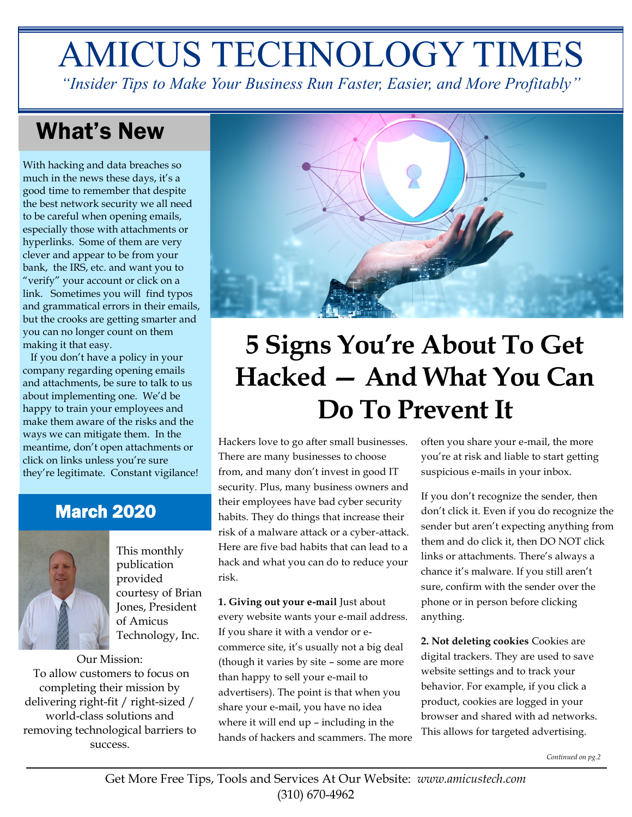# AMICUS TECHNOLOGY TIMES

*"Insider Tips to Make Your Business Run Faster, Easier, and More Profitably"*

### What's New

With hacking and data breaches so much in the news these days, it's a good time to remember that despite the best network security we all need to be careful when opening emails, especially those with attachments or hyperlinks. Some of them are very clever and appear to be from your bank, the IRS, etc. and want you to "verify" your account or click on a link. Sometimes you will find typos and grammatical errors in their emails, but the crooks are getting smarter and you can no longer count on them making it that easy.

 If you don't have a policy in your company regarding opening emails and attachments, be sure to talk to us about implementing one. We'd be happy to train your employees and make them aware of the risks and the ways we can mitigate them. In the meantime, don't open attachments or click on links unless you're sure they're legitimate. Constant vigilance!

### March 2020



This monthly publication provided courtesy of Brian Jones, President of Amicus Technology, Inc.

Our Mission: To allow customers to focus on completing their mission by delivering right-fit / right-sized / world-class solutions and removing technological barriers to success.



## **5 Signs You're About To Get Hacked — And What You Can Do To Prevent It**

Hackers love to go after small businesses. There are many businesses to choose from, and many don't invest in good IT security. Plus, many business owners and their employees have bad cyber security habits. They do things that increase their risk of a malware attack or a cyber-attack. Here are five bad habits that can lead to a hack and what you can do to reduce your risk.

**1. Giving out your e-mail** Just about every website wants your e-mail address. If you share it with a vendor or ecommerce site, it's usually not a big deal (though it varies by site – some are more than happy to sell your e-mail to advertisers). The point is that when you share your e-mail, you have no idea where it will end up – including in the hands of hackers and scammers. The more often you share your e-mail, the more you're at risk and liable to start getting suspicious e-mails in your inbox.

If you don't recognize the sender, then don't click it. Even if you do recognize the sender but aren't expecting anything from them and do click it, then DO NOT click links or attachments. There's always a chance it's malware. If you still aren't sure, confirm with the sender over the phone or in person before clicking anything.

**2. Not deleting cookies** Cookies are digital trackers. They are used to save website settings and to track your behavior. For example, if you click a product, cookies are logged in your browser and shared with ad networks. This allows for targeted advertising.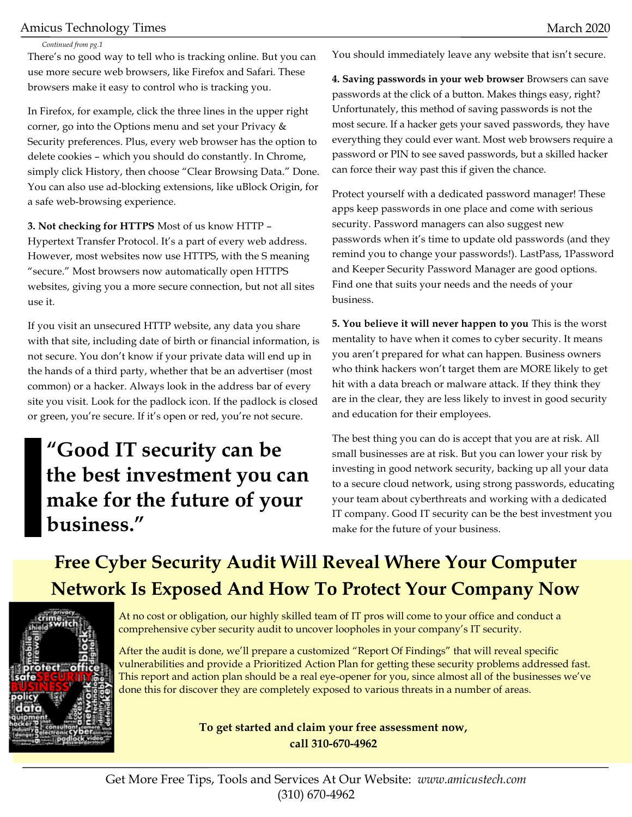#### Amicus Technology Times and the settlement of the March 2020 March 2020

#### *Continued from pg.1*

There's no good way to tell who is tracking online. But you can use more secure web browsers, like Firefox and Safari. These browsers make it easy to control who is tracking you.

In Firefox, for example, click the three lines in the upper right corner, go into the Options menu and set your Privacy & Security preferences. Plus, every web browser has the option to delete cookies – which you should do constantly. In Chrome, simply click History, then choose "Clear Browsing Data." Done. You can also use ad-blocking extensions, like uBlock Origin, for a safe web-browsing experience.

**3. Not checking for HTTPS** Most of us know HTTP – Hypertext Transfer Protocol. It's a part of every web address. However, most websites now use HTTPS, with the S meaning "secure." Most browsers now automatically open HTTPS websites, giving you a more secure connection, but not all sites use it.

If you visit an unsecured HTTP website, any data you share with that site, including date of birth or financial information, is not secure. You don't know if your private data will end up in the hands of a third party, whether that be an advertiser (most common) or a hacker. Always look in the address bar of every site you visit. Look for the padlock icon. If the padlock is closed or green, you're secure. If it's open or red, you're not secure.

### **"Good IT security can be the best investment you can make for the future of your business."**

You should immediately leave any website that isn't secure.

**4. Saving passwords in your web browser** Browsers can save passwords at the click of a button. Makes things easy, right? Unfortunately, this method of saving passwords is not the most secure. If a hacker gets your saved passwords, they have everything they could ever want. Most web browsers require a password or PIN to see saved passwords, but a skilled hacker can force their way past this if given the chance.

Protect yourself with a dedicated password manager! These apps keep passwords in one place and come with serious security. Password managers can also suggest new passwords when it's time to update old passwords (and they remind you to change your passwords!). LastPass, 1Password and Keeper Security Password Manager are good options. Find one that suits your needs and the needs of your business.

**5. You believe it will never happen to you** This is the worst mentality to have when it comes to cyber security. It means you aren't prepared for what can happen. Business owners who think hackers won't target them are MORE likely to get hit with a data breach or malware attack. If they think they are in the clear, they are less likely to invest in good security and education for their employees.

The best thing you can do is accept that you are at risk. All small businesses are at risk. But you can lower your risk by investing in good network security, backing up all your data to a secure cloud network, using strong passwords, educating your team about cyberthreats and working with a dedicated IT company. Good IT security can be the best investment you make for the future of your business.

### **Free Cyber Security Audit Will Reveal Where Your Computer Network Is Exposed And How To Protect Your Company Now**



At no cost or obligation, our highly skilled team of IT pros will come to your office and conduct a comprehensive cyber security audit to uncover loopholes in your company's IT security.

After the audit is done, we'll prepare a customized "Report Of Findings" that will reveal specific vulnerabilities and provide a Prioritized Action Plan for getting these security problems addressed fast. This report and action plan should be a real eye-opener for you, since almost all of the businesses we've done this for discover they are completely exposed to various threats in a number of areas.

#### **To get started and claim your free assessment now, call 310-670-4962**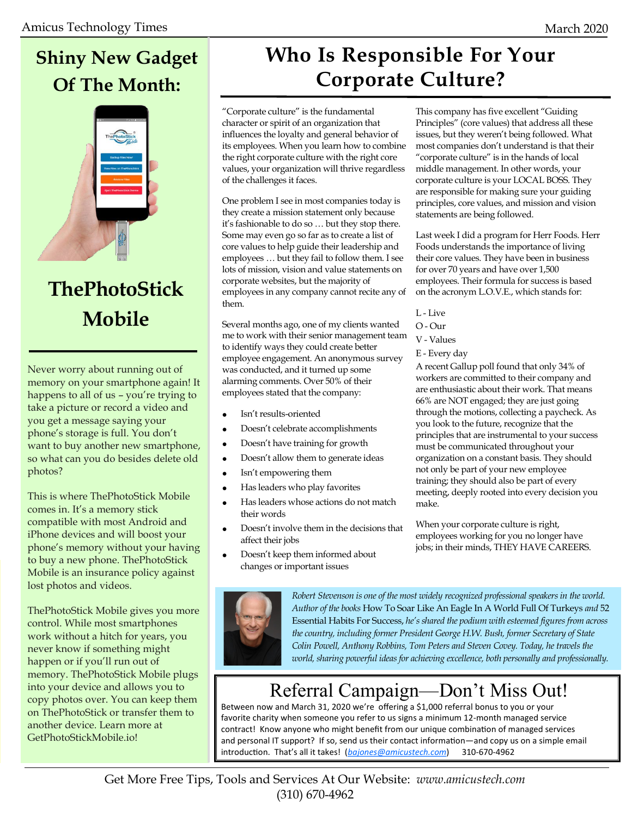### **Shiny New Gadget Of The Month:**



### **ThePhotoStick Mobile**

Never worry about running out of memory on your smartphone again! It happens to all of us - you're trying to take a picture or record a video and you get a message saying your phone's storage is full. You don't want to buy another new smartphone, so what can you do besides delete old photos?

This is where ThePhotoStick Mobile comes in. It's a memory stick compatible with most Android and iPhone devices and will boost your phone's memory without your having to buy a new phone. ThePhotoStick Mobile is an insurance policy against lost photos and videos.

ThePhotoStick Mobile gives you more control. While most smartphones work without a hitch for years, you never know if something might happen or if you'll run out of memory. ThePhotoStick Mobile plugs into your device and allows you to copy photos over. You can keep them on ThePhotoStick or transfer them to another device. Learn more at GetPhotoStickMobile.io!

### **Who Is Responsible For Your Corporate Culture?**

"Corporate culture" is the fundamental character or spirit of an organization that influences the loyalty and general behavior of its employees. When you learn how to combine the right corporate culture with the right core values, your organization will thrive regardless of the challenges it faces.

One problem I see in most companies today is they create a mission statement only because it's fashionable to do so … but they stop there. Some may even go so far as to create a list of core values to help guide their leadership and employees … but they fail to follow them. I see lots of mission, vision and value statements on corporate websites, but the majority of employees in any company cannot recite any of them.

Several months ago, one of my clients wanted me to work with their senior management team to identify ways they could create better employee engagement. An anonymous survey was conducted, and it turned up some alarming comments. Over 50% of their employees stated that the company:

- Isn't results-oriented
- Doesn't celebrate accomplishments
- Doesn't have training for growth
- Doesn't allow them to generate ideas
- Isn't empowering them
- Has leaders who play favorites
- Has leaders whose actions do not match their words
- Doesn't involve them in the decisions that affect their jobs
- Doesn't keep them informed about changes or important issues

This company has five excellent "Guiding Principles" (core values) that address all these issues, but they weren't being followed. What most companies don't understand is that their "corporate culture" is in the hands of local middle management. In other words, your corporate culture is your LOCAL BOSS. They are responsible for making sure your guiding principles, core values, and mission and vision statements are being followed.

Last week I did a program for Herr Foods. Herr Foods understands the importance of living their core values. They have been in business for over 70 years and have over 1,500 employees. Their formula for success is based on the acronym L.O.V.E., which stands for:

- L Live
- O Our
- V Values
- E Every day

A recent Gallup poll found that only 34% of workers are committed to their company and are enthusiastic about their work. That means 66% are NOT engaged; they are just going through the motions, collecting a paycheck. As you look to the future, recognize that the principles that are instrumental to your success must be communicated throughout your organization on a constant basis. They should not only be part of your new employee training; they should also be part of every meeting, deeply rooted into every decision you make.

When your corporate culture is right, employees working for you no longer have jobs; in their minds, THEY HAVE CAREERS.



*Robert Stevenson is one of the most widely recognized professional speakers in the world. Author of the books* How To Soar Like An Eagle In A World Full Of Turkeys *and* 52 Essential Habits For Success, *he's shared the podium with esteemed figures from across the country, including former President George H.W. Bush, former Secretary of State Colin Powell, Anthony Robbins, Tom Peters and Steven Covey. Today, he travels the world, sharing powerful ideas for achieving excellence, both personally and professionally.*

### Referral Campaign—Don't Miss Out!

Between now and March 31, 2020 we're offering a \$1,000 referral bonus to you or your favorite charity when someone you refer to us signs a minimum 12-month managed service contract! Know anyone who might benefit from our unique combination of managed services and personal IT support? If so, send us their contact information—and copy us on a simple email introduction. That's all it takes! (*[bajones@amicustech.com](mailto:bajones@amicustech.com?subject=I%20hav%20a%20referral%20for%20you!)*) 310-670-4962